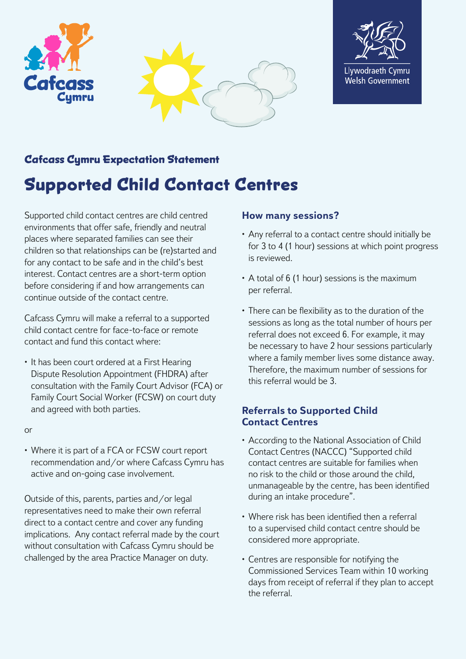



# **Cafcass Cymru Expectation Statement**

# **Supported Child Contact Centres**

Supported child contact centres are child centred environments that offer safe, friendly and neutral places where separated families can see their children so that relationships can be (re)started and for any contact to be safe and in the child's best interest. Contact centres are a short-term option before considering if and how arrangements can continue outside of the contact centre.

Cafcass Cymru will make a referral to a supported child contact centre for face-to-face or remote contact and fund this contact where:

• It has been court ordered at a First Hearing Dispute Resolution Appointment (FHDRA) after consultation with the Family Court Advisor (FCA) or Family Court Social Worker (FCSW) on court duty and agreed with both parties.

or

• Where it is part of a FCA or FCSW court report recommendation and/or where Cafcass Cymru has active and on-going case involvement.

Outside of this, parents, parties and/or legal representatives need to make their own referral direct to a contact centre and cover any funding implications. Any contact referral made by the court without consultation with Cafcass Cymru should be challenged by the area Practice Manager on duty.

## **How many sessions?**

- Any referral to a contact centre should initially be for 3 to 4 (1 hour) sessions at which point progress is reviewed.
- A total of 6 (1 hour) sessions is the maximum per referral.
- There can be flexibility as to the duration of the sessions as long as the total number of hours per referral does not exceed 6. For example, it may be necessary to have 2 hour sessions particularly where a family member lives some distance away. Therefore, the maximum number of sessions for this referral would be 3.

# **Referrals to Supported Child Contact Centres**

- According to the National Association of Child Contact Centres (NACCC) "Supported child contact centres are suitable for families when no risk to the child or those around the child, unmanageable by the centre, has been identified during an intake procedure".
- Where risk has been identified then a referral to a supervised child contact centre should be considered more appropriate.
- Centres are responsible for notifying the Commissioned Services Team within 10 working days from receipt of referral if they plan to accept the referral.